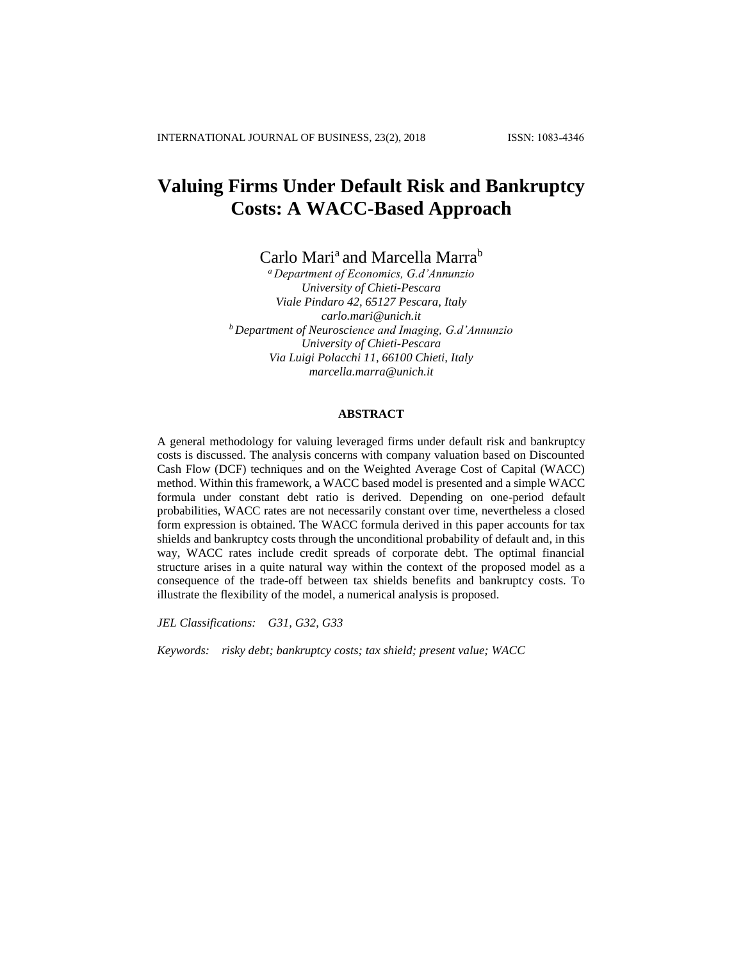# **Valuing Firms Under Default Risk and Bankruptcy Costs: A WACC-Based Approach**

Carlo Mari<sup>a</sup> and Marcella Marra<sup>b</sup>

*<sup>a</sup> Department of Economics, G.d'Annunzio University of Chieti-Pescara Viale Pindaro 42, 65127 Pescara, Italy carlo.mari@unich.it <sup>b</sup> Department of Neuroscience and Imaging, G.d'Annunzio University of Chieti-Pescara Via Luigi Polacchi 11, 66100 Chieti, Italy marcella.marra@unich.it*

# **ABSTRACT**

A general methodology for valuing leveraged firms under default risk and bankruptcy costs is discussed. The analysis concerns with company valuation based on Discounted Cash Flow (DCF) techniques and on the Weighted Average Cost of Capital (WACC) method. Within this framework, a WACC based model is presented and a simple WACC formula under constant debt ratio is derived. Depending on one-period default probabilities, WACC rates are not necessarily constant over time, nevertheless a closed form expression is obtained. The WACC formula derived in this paper accounts for tax shields and bankruptcy costs through the unconditional probability of default and, in this way, WACC rates include credit spreads of corporate debt. The optimal financial structure arises in a quite natural way within the context of the proposed model as a consequence of the trade-off between tax shields benefits and bankruptcy costs. To illustrate the flexibility of the model, a numerical analysis is proposed.

*JEL Classifications: G31, G32, G33*

*Keywords: risky debt; bankruptcy costs; tax shield; present value; WACC*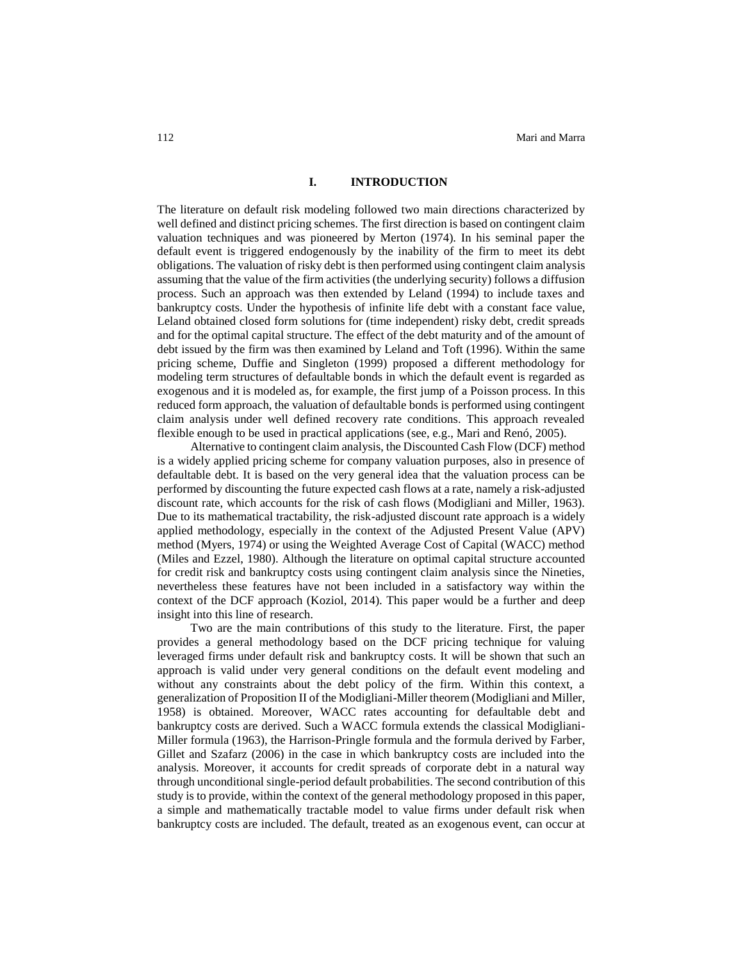#### **I. INTRODUCTION**

The literature on default risk modeling followed two main directions characterized by well defined and distinct pricing schemes. The first direction is based on contingent claim valuation techniques and was pioneered by Merton (1974). In his seminal paper the default event is triggered endogenously by the inability of the firm to meet its debt obligations. The valuation of risky debt is then performed using contingent claim analysis assuming that the value of the firm activities (the underlying security) follows a diffusion process. Such an approach was then extended by Leland (1994) to include taxes and bankruptcy costs. Under the hypothesis of infinite life debt with a constant face value, Leland obtained closed form solutions for (time independent) risky debt, credit spreads and for the optimal capital structure. The effect of the debt maturity and of the amount of debt issued by the firm was then examined by Leland and Toft (1996). Within the same pricing scheme, Duffie and Singleton (1999) proposed a different methodology for modeling term structures of defaultable bonds in which the default event is regarded as exogenous and it is modeled as, for example, the first jump of a Poisson process. In this reduced form approach, the valuation of defaultable bonds is performed using contingent claim analysis under well defined recovery rate conditions. This approach revealed flexible enough to be used in practical applications (see, e.g., Mari and Renó, 2005).

Alternative to contingent claim analysis, the Discounted Cash Flow (DCF) method is a widely applied pricing scheme for company valuation purposes, also in presence of defaultable debt. It is based on the very general idea that the valuation process can be performed by discounting the future expected cash flows at a rate, namely a risk-adjusted discount rate, which accounts for the risk of cash flows (Modigliani and Miller, 1963). Due to its mathematical tractability, the risk-adjusted discount rate approach is a widely applied methodology, especially in the context of the Adjusted Present Value (APV) method (Myers, 1974) or using the Weighted Average Cost of Capital (WACC) method (Miles and Ezzel, 1980). Although the literature on optimal capital structure accounted for credit risk and bankruptcy costs using contingent claim analysis since the Nineties, nevertheless these features have not been included in a satisfactory way within the context of the DCF approach (Koziol, 2014). This paper would be a further and deep insight into this line of research.

Two are the main contributions of this study to the literature. First, the paper provides a general methodology based on the DCF pricing technique for valuing leveraged firms under default risk and bankruptcy costs. It will be shown that such an approach is valid under very general conditions on the default event modeling and without any constraints about the debt policy of the firm. Within this context, a generalization of Proposition II of the Modigliani-Miller theorem (Modigliani and Miller, 1958) is obtained. Moreover, WACC rates accounting for defaultable debt and bankruptcy costs are derived. Such a WACC formula extends the classical Modigliani-Miller formula (1963), the Harrison-Pringle formula and the formula derived by Farber, Gillet and Szafarz (2006) in the case in which bankruptcy costs are included into the analysis. Moreover, it accounts for credit spreads of corporate debt in a natural way through unconditional single-period default probabilities. The second contribution of this study is to provide, within the context of the general methodology proposed in this paper, a simple and mathematically tractable model to value firms under default risk when bankruptcy costs are included. The default, treated as an exogenous event, can occur at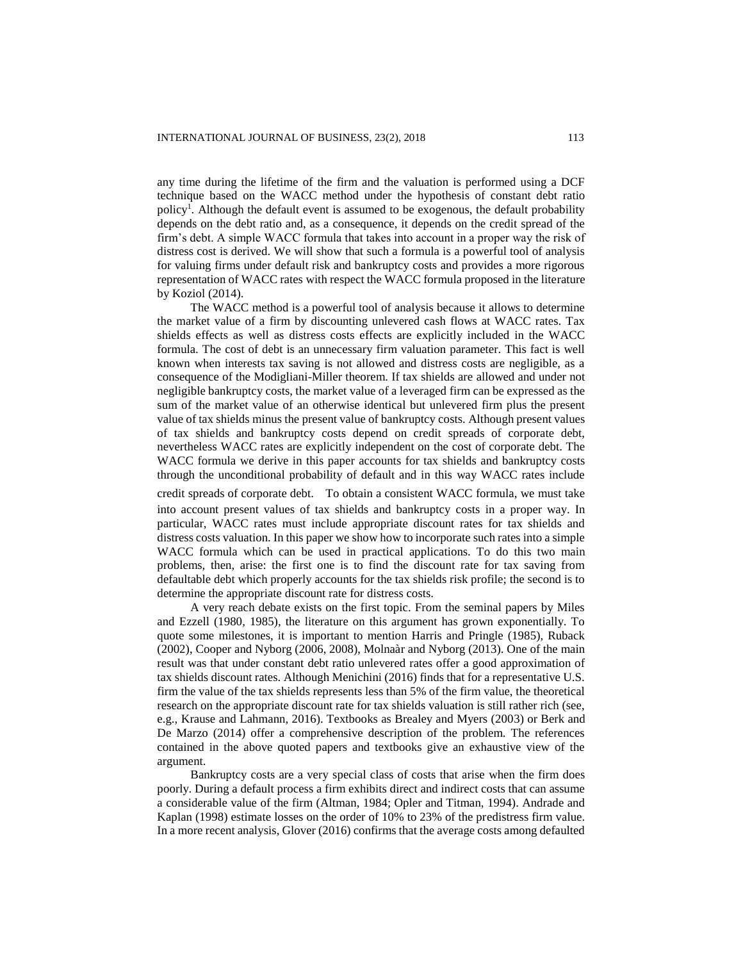any time during the lifetime of the firm and the valuation is performed using a DCF technique based on the WACC method under the hypothesis of constant debt ratio policy<sup>1</sup>. Although the default event is assumed to be exogenous, the default probability depends on the debt ratio and, as a consequence, it depends on the credit spread of the firm's debt. A simple WACC formula that takes into account in a proper way the risk of distress cost is derived. We will show that such a formula is a powerful tool of analysis for valuing firms under default risk and bankruptcy costs and provides a more rigorous representation of WACC rates with respect the WACC formula proposed in the literature by Koziol (2014).

The WACC method is a powerful tool of analysis because it allows to determine the market value of a firm by discounting unlevered cash flows at WACC rates. Tax shields effects as well as distress costs effects are explicitly included in the WACC formula. The cost of debt is an unnecessary firm valuation parameter. This fact is well known when interests tax saving is not allowed and distress costs are negligible, as a consequence of the Modigliani-Miller theorem. If tax shields are allowed and under not negligible bankruptcy costs, the market value of a leveraged firm can be expressed as the sum of the market value of an otherwise identical but unlevered firm plus the present value of tax shields minus the present value of bankruptcy costs. Although present values of tax shields and bankruptcy costs depend on credit spreads of corporate debt, nevertheless WACC rates are explicitly independent on the cost of corporate debt. The WACC formula we derive in this paper accounts for tax shields and bankruptcy costs through the unconditional probability of default and in this way WACC rates include

credit spreads of corporate debt. To obtain a consistent WACC formula, we must take

into account present values of tax shields and bankruptcy costs in a proper way. In particular, WACC rates must include appropriate discount rates for tax shields and distress costs valuation. In this paper we show how to incorporate such rates into a simple WACC formula which can be used in practical applications. To do this two main problems, then, arise: the first one is to find the discount rate for tax saving from defaultable debt which properly accounts for the tax shields risk profile; the second is to determine the appropriate discount rate for distress costs.

A very reach debate exists on the first topic. From the seminal papers by Miles and Ezzell (1980, 1985), the literature on this argument has grown exponentially. To quote some milestones, it is important to mention Harris and Pringle (1985), Ruback (2002), Cooper and Nyborg (2006, 2008), Molnaàr and Nyborg (2013). One of the main result was that under constant debt ratio unlevered rates offer a good approximation of tax shields discount rates. Although Menichini (2016) finds that for a representative U.S. firm the value of the tax shields represents less than 5% of the firm value, the theoretical research on the appropriate discount rate for tax shields valuation is still rather rich (see, e.g., Krause and Lahmann, 2016). Textbooks as Brealey and Myers (2003) or Berk and De Marzo (2014) offer a comprehensive description of the problem. The references contained in the above quoted papers and textbooks give an exhaustive view of the argument.

Bankruptcy costs are a very special class of costs that arise when the firm does poorly. During a default process a firm exhibits direct and indirect costs that can assume a considerable value of the firm (Altman, 1984; Opler and Titman, 1994). Andrade and Kaplan (1998) estimate losses on the order of 10% to 23% of the predistress firm value. In a more recent analysis, Glover (2016) confirms that the average costs among defaulted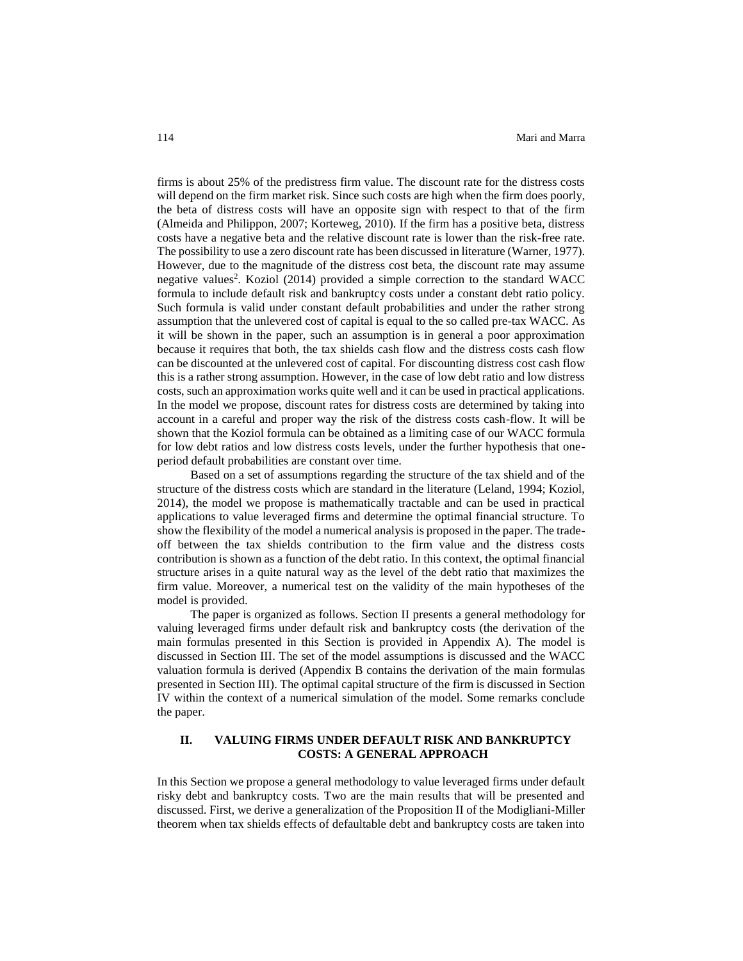firms is about 25% of the predistress firm value. The discount rate for the distress costs will depend on the firm market risk. Since such costs are high when the firm does poorly, the beta of distress costs will have an opposite sign with respect to that of the firm (Almeida and Philippon, 2007; Korteweg, 2010). If the firm has a positive beta, distress costs have a negative beta and the relative discount rate is lower than the risk-free rate. The possibility to use a zero discount rate has been discussed in literature (Warner, 1977). However, due to the magnitude of the distress cost beta, the discount rate may assume negative values<sup>2</sup>. Koziol (2014) provided a simple correction to the standard WACC formula to include default risk and bankruptcy costs under a constant debt ratio policy. Such formula is valid under constant default probabilities and under the rather strong assumption that the unlevered cost of capital is equal to the so called pre-tax WACC. As it will be shown in the paper, such an assumption is in general a poor approximation because it requires that both, the tax shields cash flow and the distress costs cash flow can be discounted at the unlevered cost of capital. For discounting distress cost cash flow this is a rather strong assumption. However, in the case of low debt ratio and low distress costs, such an approximation works quite well and it can be used in practical applications. In the model we propose, discount rates for distress costs are determined by taking into account in a careful and proper way the risk of the distress costs cash-flow. It will be shown that the Koziol formula can be obtained as a limiting case of our WACC formula for low debt ratios and low distress costs levels, under the further hypothesis that oneperiod default probabilities are constant over time.

Based on a set of assumptions regarding the structure of the tax shield and of the structure of the distress costs which are standard in the literature (Leland, 1994; Koziol, 2014), the model we propose is mathematically tractable and can be used in practical applications to value leveraged firms and determine the optimal financial structure. To show the flexibility of the model a numerical analysis is proposed in the paper. The tradeoff between the tax shields contribution to the firm value and the distress costs contribution is shown as a function of the debt ratio. In this context, the optimal financial structure arises in a quite natural way as the level of the debt ratio that maximizes the firm value. Moreover, a numerical test on the validity of the main hypotheses of the model is provided.

The paper is organized as follows. Section II presents a general methodology for valuing leveraged firms under default risk and bankruptcy costs (the derivation of the main formulas presented in this Section is provided in Appendix A). The model is discussed in Section III. The set of the model assumptions is discussed and the WACC valuation formula is derived (Appendix B contains the derivation of the main formulas presented in Section III). The optimal capital structure of the firm is discussed in Section IV within the context of a numerical simulation of the model. Some remarks conclude the paper.

# **II. VALUING FIRMS UNDER DEFAULT RISK AND BANKRUPTCY COSTS: A GENERAL APPROACH**

In this Section we propose a general methodology to value leveraged firms under default risky debt and bankruptcy costs. Two are the main results that will be presented and discussed. First, we derive a generalization of the Proposition II of the Modigliani-Miller theorem when tax shields effects of defaultable debt and bankruptcy costs are taken into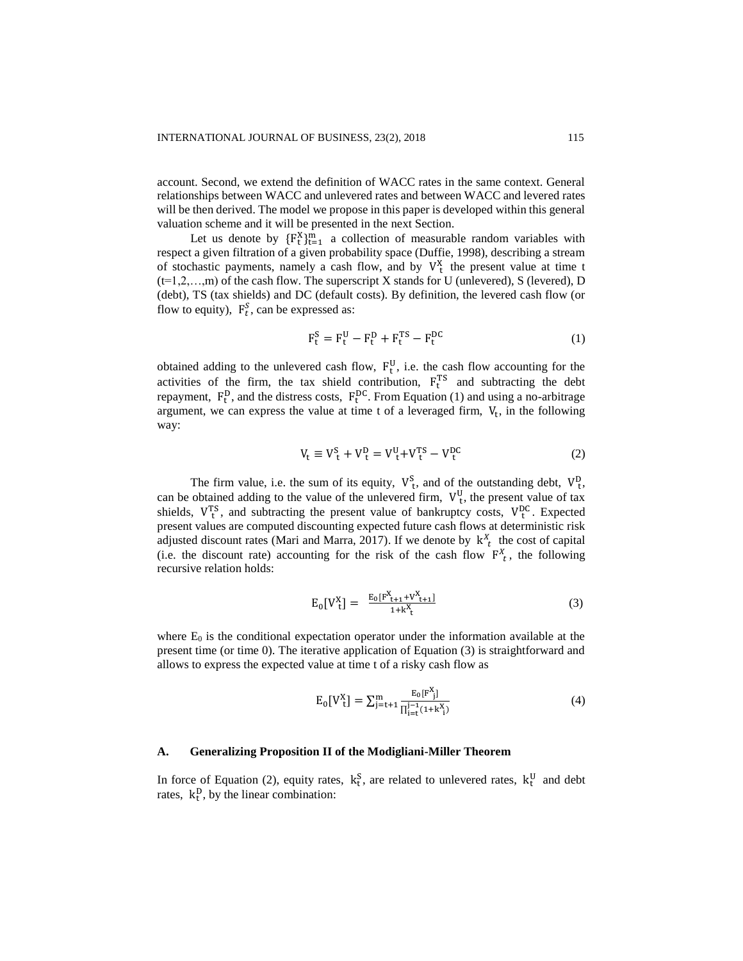account. Second, we extend the definition of WACC rates in the same context. General relationships between WACC and unlevered rates and between WACC and levered rates will be then derived. The model we propose in this paper is developed within this general valuation scheme and it will be presented in the next Section.

Let us denote by  ${F_t^X}_{t=1}^m$  a collection of measurable random variables with respect a given filtration of a given probability space (Duffie, 1998), describing a stream of stochastic payments, namely a cash flow, and by  $V_t^X$  the present value at time t  $(t=1,2,...,m)$  of the cash flow. The superscript X stands for U (unlevered), S (levered), D (debt), TS (tax shields) and DC (default costs). By definition, the levered cash flow (or flow to equity),  $F_t^S$ , can be expressed as:

$$
\mathbf{F}_t^S = \mathbf{F}_t^U - \mathbf{F}_t^D + \mathbf{F}_t^{TS} - \mathbf{F}_t^{DC}
$$
 (1)

obtained adding to the unlevered cash flow,  $F_t^U$ , i.e. the cash flow accounting for the activities of the firm, the tax shield contribution,  $F_t^{TS}$  and subtracting the debt repayment,  $F_t^D$ , and the distress costs,  $F_t^{DC}$ . From Equation (1) and using a no-arbitrage argument, we can express the value at time t of a leveraged firm,  $V_t$ , in the following way:

$$
V_{t} \equiv V_{t}^{S} + V_{t}^{D} = V_{t}^{U} + V_{t}^{TS} - V_{t}^{DC}
$$
 (2)

The firm value, i.e. the sum of its equity,  $V_t^S$ , and of the outstanding debt,  $V_t^D$ , can be obtained adding to the value of the unlevered firm,  $V_t^U$ , the present value of tax shields,  $V_t^{TS}$ , and subtracting the present value of bankruptcy costs,  $V_t^{DC}$ . Expected present values are computed discounting expected future cash flows at deterministic risk adjusted discount rates (Mari and Marra, 2017). If we denote by  $k_t^X$  the cost of capital (i.e. the discount rate) accounting for the risk of the cash flow  $F_t^X$ , the following recursive relation holds:

$$
E_0[V_t^X] = \frac{E_0[F_{t+1}^X + V_{t+1}^X]}{1 + k_t^X}
$$
 (3)

where  $E_0$  is the conditional expectation operator under the information available at the present time (or time 0). The iterative application of Equation (3) is straightforward and allows to express the expected value at time t of a risky cash flow as

$$
E_0[V_{t}^X] = \sum_{j=t+1}^{m} \frac{E_0[F_{j}^X]}{\prod_{j=t}^{j-1} (1+k_{j}^X)}
$$
(4)

# **A. Generalizing Proposition II of the Modigliani-Miller Theorem**

In force of Equation (2), equity rates,  $k_t^S$ , are related to unlevered rates,  $k_t^U$  and debt rates,  $k_t^D$ , by the linear combination: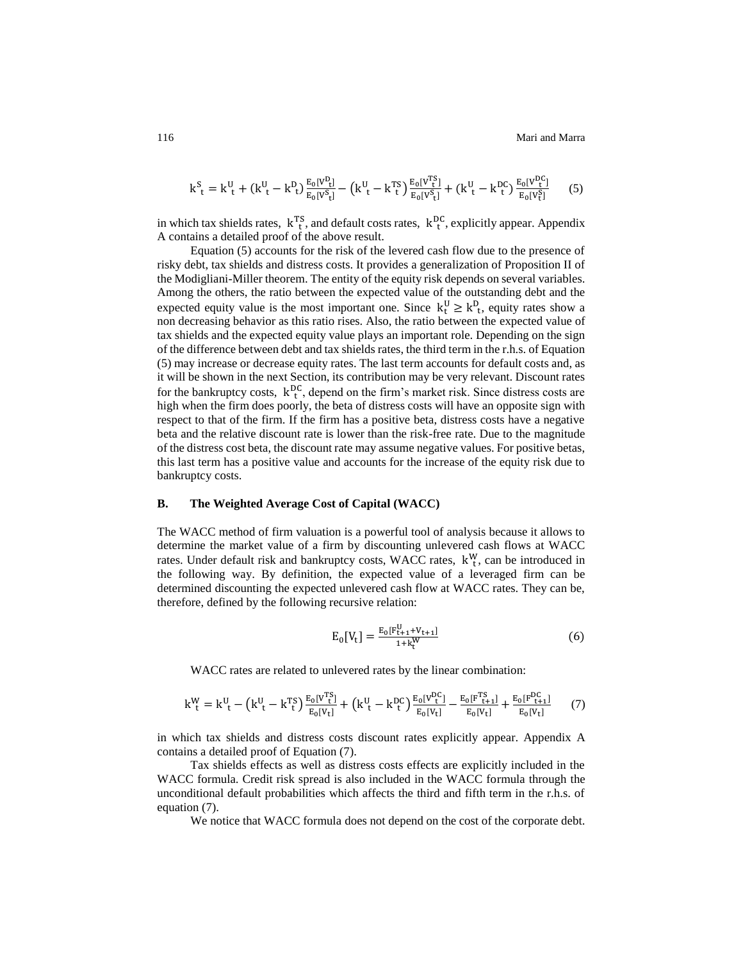116 Mari and Marra

$$
k_{t}^{S} = k_{t}^{U} + (k_{t}^{U} - k_{t}^{D}) \frac{E_{0}[V_{t}^{D}]}{E_{0}[V_{t}^{S}]} - (k_{t}^{U} - k_{t}^{TS}) \frac{E_{0}[V_{t}^{TS}]}{E_{0}[V_{t}^{S}]} + (k_{t}^{U} - k_{t}^{DC}) \frac{E_{0}[V_{t}^{DC}]}{E_{0}[V_{t}^{S}]}
$$
(5)

in which tax shields rates,  $k_{t}^{TS}$ , and default costs rates,  $k_{t}^{DC}$ , explicitly appear. Appendix A contains a detailed proof of the above result.

Equation (5) accounts for the risk of the levered cash flow due to the presence of risky debt, tax shields and distress costs. It provides a generalization of Proposition II of the Modigliani-Miller theorem. The entity of the equity risk depends on several variables. Among the others, the ratio between the expected value of the outstanding debt and the expected equity value is the most important one. Since  $k_t^U \ge k_t^D$ , equity rates show a non decreasing behavior as this ratio rises. Also, the ratio between the expected value of tax shields and the expected equity value plays an important role. Depending on the sign of the difference between debt and tax shields rates, the third term in the r.h.s. of Equation (5) may increase or decrease equity rates. The last term accounts for default costs and, as it will be shown in the next Section, its contribution may be very relevant. Discount rates for the bankruptcy costs,  $k_{t}^{DC}$ , depend on the firm's market risk. Since distress costs are high when the firm does poorly, the beta of distress costs will have an opposite sign with respect to that of the firm. If the firm has a positive beta, distress costs have a negative beta and the relative discount rate is lower than the risk-free rate. Due to the magnitude of the distress cost beta, the discount rate may assume negative values. For positive betas, this last term has a positive value and accounts for the increase of the equity risk due to bankruptcy costs.

#### **B. The Weighted Average Cost of Capital (WACC)**

The WACC method of firm valuation is a powerful tool of analysis because it allows to determine the market value of a firm by discounting unlevered cash flows at WACC rates. Under default risk and bankruptcy costs, WACC rates,  $k_{t}^{W}$ , can be introduced in the following way. By definition, the expected value of a leveraged firm can be determined discounting the expected unlevered cash flow at WACC rates. They can be, therefore, defined by the following recursive relation:

$$
E_0[V_t] = \frac{E_0[F_{t+1}^U + V_{t+1}]}{1 + k_t^W}
$$
 (6)

WACC rates are related to unlevered rates by the linear combination:

$$
k_{t}^{W} = k_{t}^{U} - \left(k_{t}^{U} - k_{t}^{TS}\right) \frac{E_{0}[V_{t}^{TS}]}{E_{0}[V_{t}]} + \left(k_{t}^{U} - k_{t}^{DC}\right) \frac{E_{0}[V_{t}^{DC}]}{E_{0}[V_{t}]} - \frac{E_{0}[F_{t+1}^{TS}]}{E_{0}[V_{t}]} + \frac{E_{0}[F_{t+1}^{DC}]}{E_{0}[V_{t}]} \tag{7}
$$

in which tax shields and distress costs discount rates explicitly appear. Appendix A contains a detailed proof of Equation (7).

Tax shields effects as well as distress costs effects are explicitly included in the WACC formula. Credit risk spread is also included in the WACC formula through the unconditional default probabilities which affects the third and fifth term in the r.h.s. of equation (7).

We notice that WACC formula does not depend on the cost of the corporate debt.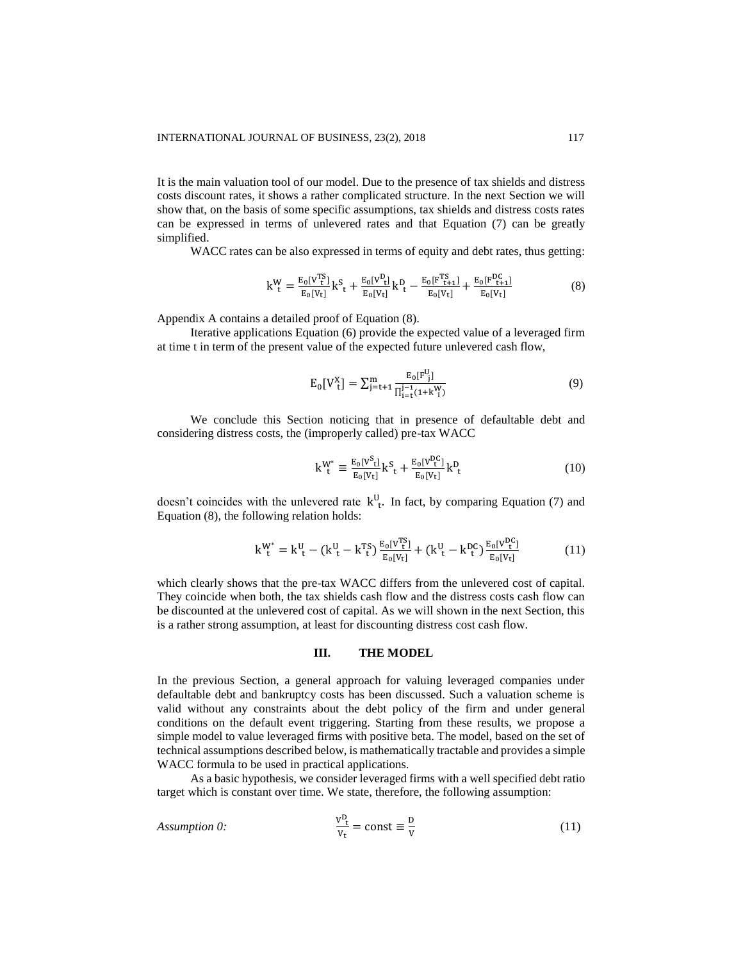It is the main valuation tool of our model. Due to the presence of tax shields and distress costs discount rates, it shows a rather complicated structure. In the next Section we will show that, on the basis of some specific assumptions, tax shields and distress costs rates can be expressed in terms of unlevered rates and that Equation (7) can be greatly simplified.

WACC rates can be also expressed in terms of equity and debt rates, thus getting:

$$
k_{t}^{W} = \frac{E_{0}[V_{t}^{TS}]}{E_{0}[V_{t}]}k_{t}^{S} + \frac{E_{0}[V_{t}^{D}]}{E_{0}[V_{t}]}k_{t}^{D} - \frac{E_{0}[F_{t+1}^{TS}]}{E_{0}[V_{t}]} + \frac{E_{0}[F_{t+1}^{DC}]}{E_{0}[V_{t}]}
$$
(8)

Appendix A contains a detailed proof of Equation (8).

Iterative applications Equation (6) provide the expected value of a leveraged firm at time t in term of the present value of the expected future unlevered cash flow,

$$
E_0[V_t^X] = \sum_{j=t+1}^{m} \frac{E_0[F_{j}^U]}{\prod_{i=t}^{j-1}(1+k_i^W_i)}
$$
(9)

We conclude this Section noticing that in presence of defaultable debt and considering distress costs, the (improperly called) pre-tax WACC

$$
k_{t}^{W^{*}} \equiv \frac{E_{0}[V_{t}^{S}]}{E_{0}[V_{t}]} k_{t}^{S} + \frac{E_{0}[V_{t}^{DC}]}{E_{0}[V_{t}]} k_{t}^{D}
$$
 (10)

doesn't coincides with the unlevered rate  $k_{t}^{U}$ . In fact, by comparing Equation (7) and Equation (8), the following relation holds:

$$
k_{t}^{W^{*}} = k_{t}^{U} - (k_{t}^{U} - k_{t}^{TS}) \frac{E_{0}[V_{t}^{TS}]}{E_{0}[V_{t}]} + (k_{t}^{U} - k_{t}^{DC}) \frac{E_{0}[V_{t}^{DC}]}{E_{0}[V_{t}]}
$$
(11)

which clearly shows that the pre-tax WACC differs from the unlevered cost of capital. They coincide when both, the tax shields cash flow and the distress costs cash flow can be discounted at the unlevered cost of capital. As we will shown in the next Section, this is a rather strong assumption, at least for discounting distress cost cash flow.

#### **III. THE MODEL**

In the previous Section, a general approach for valuing leveraged companies under defaultable debt and bankruptcy costs has been discussed. Such a valuation scheme is valid without any constraints about the debt policy of the firm and under general conditions on the default event triggering. Starting from these results, we propose a simple model to value leveraged firms with positive beta. The model, based on the set of technical assumptions described below, is mathematically tractable and provides a simple WACC formula to be used in practical applications.

As a basic hypothesis, we consider leveraged firms with a well specified debt ratio target which is constant over time. We state, therefore, the following assumption:

Assumption 0: 
$$
\frac{v_{t}^{D}}{v_{t}} = \text{const} \equiv \frac{D}{v}
$$
 (11)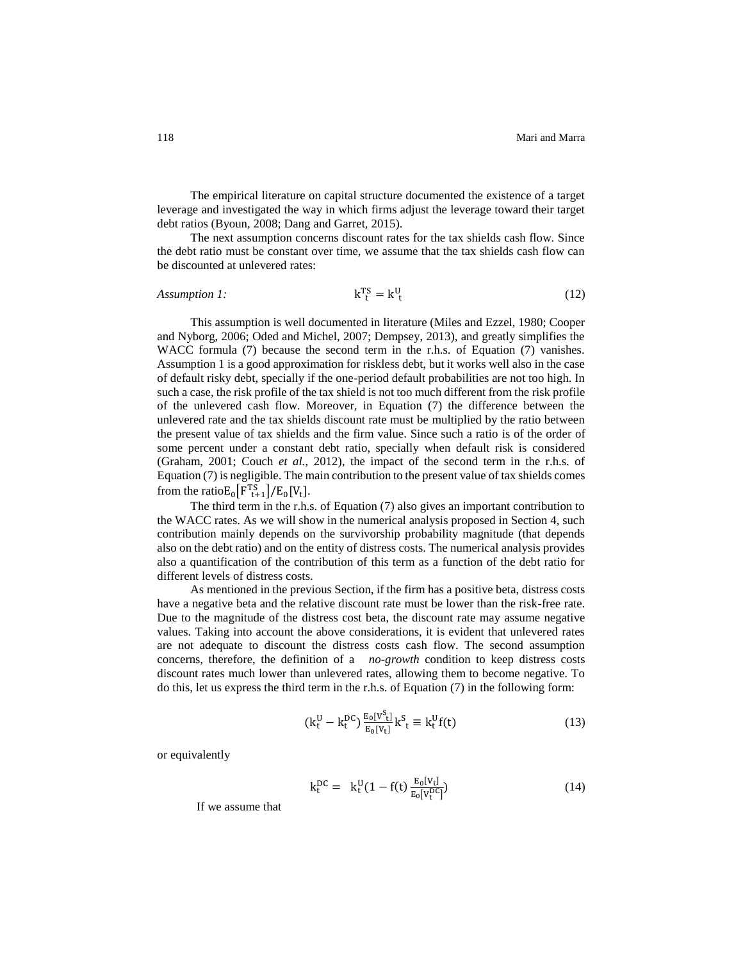The empirical literature on capital structure documented the existence of a target leverage and investigated the way in which firms adjust the leverage toward their target debt ratios (Byoun, 2008; Dang and Garret, 2015).

The next assumption concerns discount rates for the tax shields cash flow. Since the debt ratio must be constant over time, we assume that the tax shields cash flow can be discounted at unlevered rates:

#### *Assumption 1:*  $T_{t}^{S} = k_{t}^{U}$ (12)

This assumption is well documented in literature (Miles and Ezzel, 1980; Cooper and Nyborg, 2006; Oded and Michel, 2007; Dempsey, 2013), and greatly simplifies the WACC formula (7) because the second term in the r.h.s. of Equation (7) vanishes. Assumption 1 is a good approximation for riskless debt, but it works well also in the case of default risky debt, specially if the one-period default probabilities are not too high. In such a case, the risk profile of the tax shield is not too much different from the risk profile of the unlevered cash flow. Moreover, in Equation (7) the difference between the unlevered rate and the tax shields discount rate must be multiplied by the ratio between the present value of tax shields and the firm value. Since such a ratio is of the order of some percent under a constant debt ratio, specially when default risk is considered (Graham, 2001; Couch *et al.*, 2012), the impact of the second term in the r.h.s. of Equation (7) is negligible. The main contribution to the present value of tax shields comes from the ratio $E_0[F_{t+1}^{TS}]/E_0[V_t].$ 

The third term in the r.h.s. of Equation (7) also gives an important contribution to the WACC rates. As we will show in the numerical analysis proposed in Section 4, such contribution mainly depends on the survivorship probability magnitude (that depends also on the debt ratio) and on the entity of distress costs. The numerical analysis provides also a quantification of the contribution of this term as a function of the debt ratio for different levels of distress costs.

As mentioned in the previous Section, if the firm has a positive beta, distress costs have a negative beta and the relative discount rate must be lower than the risk-free rate. Due to the magnitude of the distress cost beta, the discount rate may assume negative values. Taking into account the above considerations, it is evident that unlevered rates are not adequate to discount the distress costs cash flow. The second assumption concerns, therefore, the definition of a *no-growth* condition to keep distress costs discount rates much lower than unlevered rates, allowing them to become negative. To do this, let us express the third term in the r.h.s. of Equation (7) in the following form:

$$
(k_t^U - k_t^{DC}) \frac{E_0[V_t^S]}{E_0[V_t]} k_t^S \equiv k_t^U f(t)
$$
\n(13)

or equivalently

$$
k_t^{DC} = k_t^U (1 - f(t) \frac{E_0[V_t^D]}{E_0[V_t^{DC}]} )
$$
\n(14)

If we assume that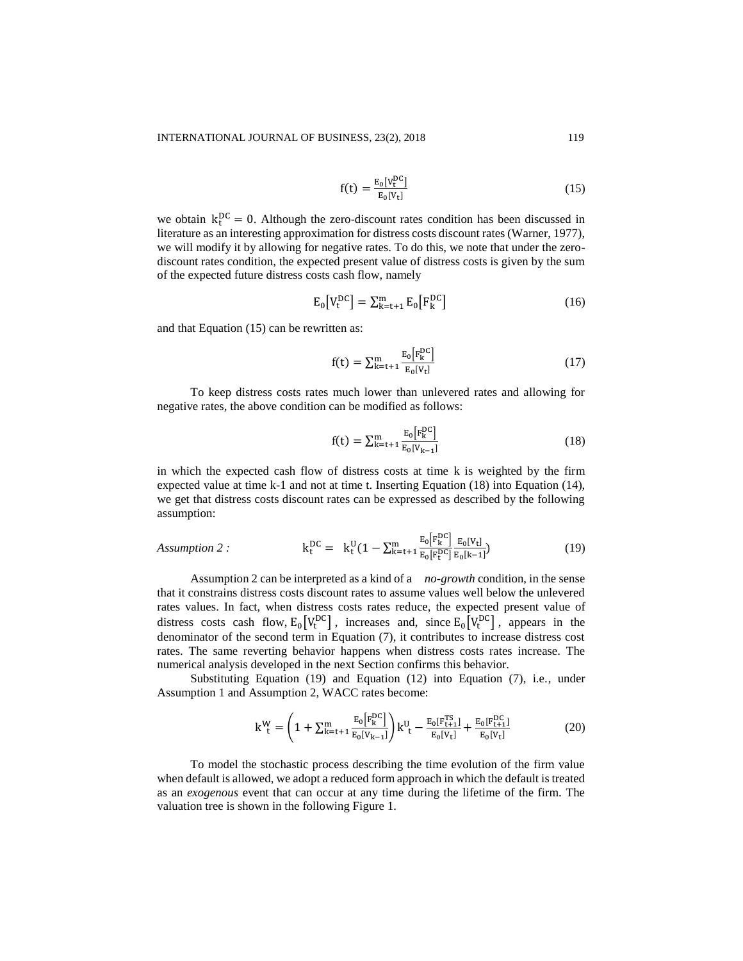$$
f(t) = \frac{E_0[v_t^{DC}]}{E_0[v_t]}
$$
\n(15)

we obtain  $k_t^{DC} = 0$ . Although the zero-discount rates condition has been discussed in literature as an interesting approximation for distress costs discount rates (Warner, 1977), we will modify it by allowing for negative rates. To do this, we note that under the zerodiscount rates condition, the expected present value of distress costs is given by the sum of the expected future distress costs cash flow, namely

$$
E_0[V_t^{DC}] = \sum_{k=t+1}^{m} E_0[F_k^{DC}] \tag{16}
$$

and that Equation (15) can be rewritten as:

$$
f(t) = \sum_{k=t+1}^{m} \frac{E_0[F_k^{\rm DC}]}{E_0[V_t]}
$$
 (17)

To keep distress costs rates much lower than unlevered rates and allowing for negative rates, the above condition can be modified as follows:

$$
f(t) = \sum_{k=t+1}^{m} \frac{E_0[F_k^{\rm DC}]}{E_0[V_{k-1}]}
$$
 (18)

in which the expected cash flow of distress costs at time k is weighted by the firm expected value at time k-1 and not at time t. Inserting Equation (18) into Equation (14), we get that distress costs discount rates can be expressed as described by the following assumption:

Assumption 2: 
$$
k_t^{DC} = k_t^U (1 - \sum_{k=t+1}^m \frac{E_0[F_k^{DC}]}{E_0[F_t^{DC}]} \frac{E_0[V_t]}{E_0[k-1]})
$$
 (19)

Assumption 2 can be interpreted as a kind of a *no-growth* condition, in the sense that it constrains distress costs discount rates to assume values well below the unlevered rates values. In fact, when distress costs rates reduce, the expected present value of distress costs cash flow,  $E_0[V_t^{DC}]$ , increases and, since  $E_0[V_t^{DC}]$ , appears in the denominator of the second term in Equation (7), it contributes to increase distress cost rates. The same reverting behavior happens when distress costs rates increase. The numerical analysis developed in the next Section confirms this behavior.

Substituting Equation (19) and Equation (12) into Equation (7), i.e., under Assumption 1 and Assumption 2, WACC rates become:

$$
k_{t}^{W} = \left(1 + \sum_{k=t+1}^{m} \frac{E_{0}[F_{k}^{DC}]}{E_{0}[V_{k-1}]}\right)k_{t}^{U} - \frac{E_{0}[F_{t+1}^{TS}]}{E_{0}[V_{t}]} + \frac{E_{0}[F_{t+1}^{DC}]}{E_{0}[V_{t}]}
$$
(20)

To model the stochastic process describing the time evolution of the firm value when default is allowed, we adopt a reduced form approach in which the default is treated as an *exogenous* event that can occur at any time during the lifetime of the firm. The valuation tree is shown in the following Figure 1.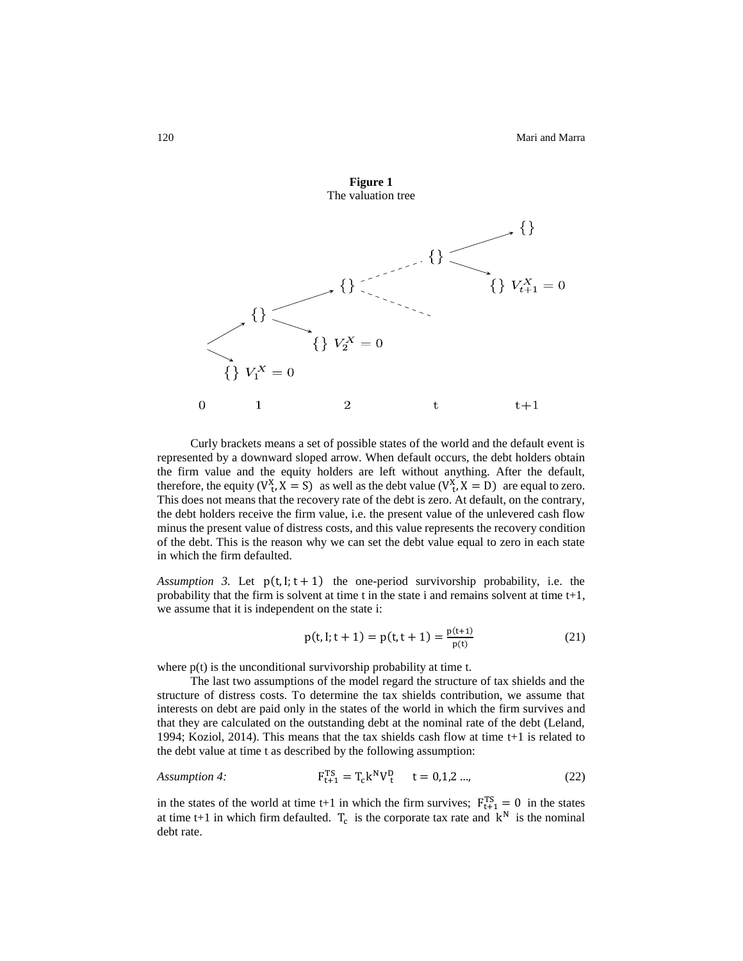

Curly brackets means a set of possible states of the world and the default event is represented by a downward sloped arrow. When default occurs, the debt holders obtain the firm value and the equity holders are left without anything. After the default, therefore, the equity  $(V_t^X, X = S)$  as well as the debt value  $(V_t^X, X = D)$  are equal to zero. This does not means that the recovery rate of the debt is zero. At default, on the contrary, the debt holders receive the firm value, i.e. the present value of the unlevered cash flow minus the present value of distress costs, and this value represents the recovery condition of the debt. This is the reason why we can set the debt value equal to zero in each state in which the firm defaulted.

*Assumption 3.* Let  $p(t, l; t + 1)$  the one-period survivorship probability, i.e. the probability that the firm is solvent at time t in the state i and remains solvent at time t+1, we assume that it is independent on the state i:

$$
p(t, l; t + 1) = p(t, t + 1) = \frac{p(t+1)}{p(t)}
$$
(21)

where  $p(t)$  is the unconditional survivorship probability at time t.

The last two assumptions of the model regard the structure of tax shields and the structure of distress costs. To determine the tax shields contribution, we assume that interests on debt are paid only in the states of the world in which the firm survives and that they are calculated on the outstanding debt at the nominal rate of the debt (Leland, 1994; Koziol, 2014). This means that the tax shields cash flow at time t+1 is related to the debt value at time t as described by the following assumption:

Assumption 4: 
$$
F_{t+1}^{TS} = T_c k^N V_t^D \t t = 0,1,2...,
$$
 (22)

in the states of the world at time t+1 in which the firm survives;  $F_{t+1}^{TS} = 0$  in the states at time t+1 in which firm defaulted.  $T_c$  is the corporate tax rate and  $k^N$  is the nominal debt rate.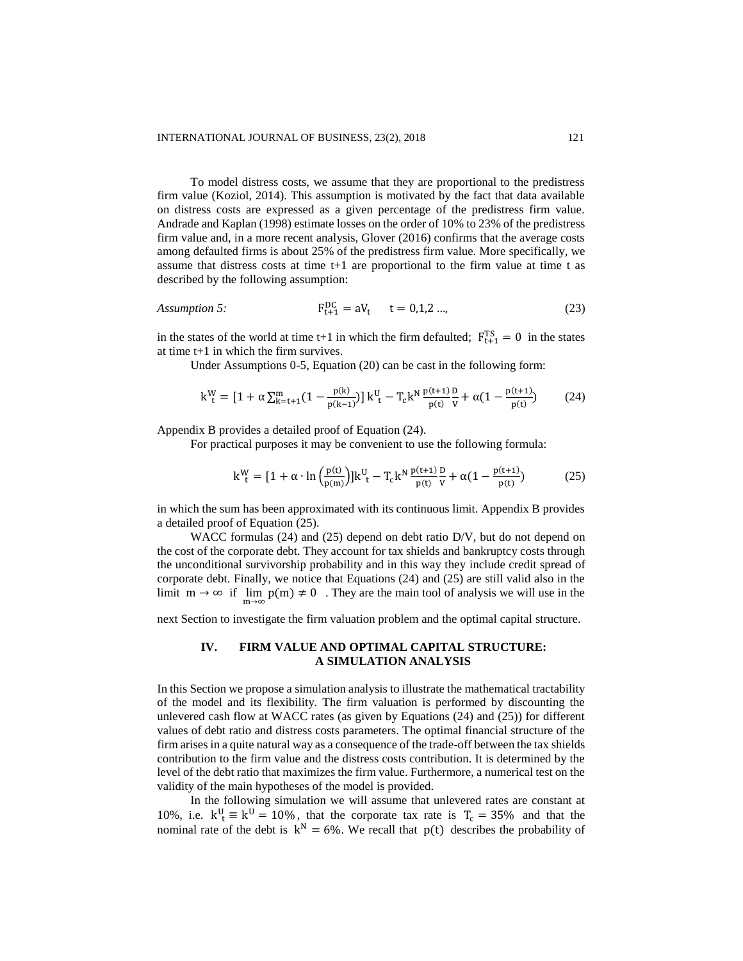To model distress costs, we assume that they are proportional to the predistress firm value (Koziol, 2014). This assumption is motivated by the fact that data available on distress costs are expressed as a given percentage of the predistress firm value. Andrade and Kaplan (1998) estimate losses on the order of 10% to 23% of the predistress firm value and, in a more recent analysis, Glover (2016) confirms that the average costs among defaulted firms is about 25% of the predistress firm value. More specifically, we assume that distress costs at time t+1 are proportional to the firm value at time t as described by the following assumption:

Assumption 5: 
$$
F_{t+1}^{DC} = aV_t
$$
  $t = 0,1,2...$  (23)

in the states of the world at time t+1 in which the firm defaulted;  $F_{t+1}^{TS} = 0$  in the states at time t+1 in which the firm survives.

Under Assumptions 0-5, Equation (20) can be cast in the following form:

$$
k_{t}^{W} = [1 + \alpha \sum_{k=t+1}^{m} (1 - \frac{p(k)}{p(k-1)})] k_{t}^{U} - T_{c} k^{N} \frac{p(t+1)}{p(t)} \frac{D}{V} + \alpha (1 - \frac{p(t+1)}{p(t)})
$$
(24)

Appendix B provides a detailed proof of Equation (24).

For practical purposes it may be convenient to use the following formula:

$$
k_{t}^{W} = [1 + \alpha \cdot \ln \left( \frac{p(t)}{p(m)} \right)] k_{t}^{U} - T_{c} k^{N} \frac{p(t+1)}{p(t)} \frac{D}{V} + \alpha (1 - \frac{p(t+1)}{p(t)})
$$
(25)

in which the sum has been approximated with its continuous limit. Appendix B provides a detailed proof of Equation (25).

WACC formulas (24) and (25) depend on debt ratio D/V, but do not depend on the cost of the corporate debt. They account for tax shields and bankruptcy costs through the unconditional survivorship probability and in this way they include credit spread of corporate debt. Finally, we notice that Equations (24) and (25) are still valid also in the limit  $m \to \infty$  if  $\lim_{m \to \infty} p(m) \neq 0$ . They are the main tool of analysis we will use in the

next Section to investigate the firm valuation problem and the optimal capital structure.

# **IV. FIRM VALUE AND OPTIMAL CAPITAL STRUCTURE: A SIMULATION ANALYSIS**

In this Section we propose a simulation analysis to illustrate the mathematical tractability of the model and its flexibility. The firm valuation is performed by discounting the unlevered cash flow at WACC rates (as given by Equations (24) and (25)) for different values of debt ratio and distress costs parameters. The optimal financial structure of the firm arises in a quite natural way as a consequence of the trade-off between the tax shields contribution to the firm value and the distress costs contribution. It is determined by the level of the debt ratio that maximizes the firm value. Furthermore, a numerical test on the validity of the main hypotheses of the model is provided.

In the following simulation we will assume that unlevered rates are constant at 10%, i.e.  $k_{t}^{U} \equiv k_{U} = 10\%$ , that the corporate tax rate is  $T_c = 35\%$  and that the nominal rate of the debt is  $k^N = 6\%$ . We recall that  $p(t)$  describes the probability of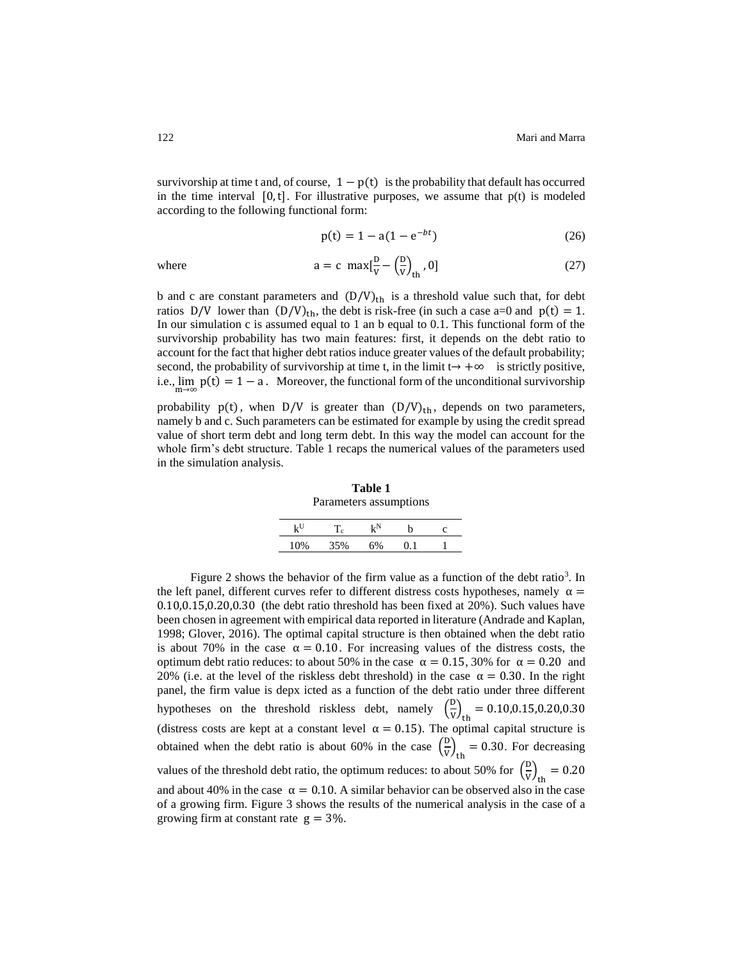survivorship at time t and, of course,  $1-p(t)$  is the probability that default has occurred in the time interval  $[0, t]$ . For illustrative purposes, we assume that  $p(t)$  is modeled according to the following functional form:

$$
p(t) = 1 - a(1 - e^{-bt})
$$
 (26)

$$
a = c \, \max[\frac{D}{V} - \left(\frac{D}{V}\right)_{th}, 0] \tag{27}
$$

b and c are constant parameters and  $(D/V)_{th}$  is a threshold value such that, for debt ratios D/V lower than  $(D/V)_{\text{th}}$ , the debt is risk-free (in such a case a=0 and  $p(t) = 1$ . In our simulation c is assumed equal to 1 an b equal to 0.1. This functional form of the survivorship probability has two main features: first, it depends on the debt ratio to account for the fact that higher debt ratios induce greater values of the default probability; second, the probability of survivorship at time t, in the limit  $t \rightarrow +\infty$  is strictly positive, i.e.,  $\lim_{m\to\infty} p(t) = 1 - a$ . Moreover, the functional form of the unconditional survivorship

probability  $p(t)$ , when  $D/V$  is greater than  $(D/V)_{th}$ , depends on two parameters, namely b and c. Such parameters can be estimated for example by using the credit spread value of short term debt and long term debt. In this way the model can account for the whole firm's debt structure. Table 1 recaps the numerical values of the parameters used in the simulation analysis.

**Table 1** Parameters assumptions

| LU. | Тc  | kΝ |  |
|-----|-----|----|--|
|     | 35% |    |  |
|     |     |    |  |

Figure 2 shows the behavior of the firm value as a function of the debt ratio<sup>3</sup>. In the left panel, different curves refer to different distress costs hypotheses, namely  $\alpha =$ 0.10,0.15,0.20,0.30 (the debt ratio threshold has been fixed at 20%). Such values have been chosen in agreement with empirical data reported in literature (Andrade and Kaplan, 1998; Glover, 2016). The optimal capital structure is then obtained when the debt ratio is about 70% in the case  $\alpha = 0.10$ . For increasing values of the distress costs, the optimum debt ratio reduces: to about 50% in the case  $\alpha = 0.15, 30\%$  for  $\alpha = 0.20$  and 20% (i.e. at the level of the riskless debt threshold) in the case  $\alpha = 0.30$ . In the right panel, the firm value is depx icted as a function of the debt ratio under three different hypotheses on the threshold riskless debt, namely  $\left(\frac{D}{W}\right)$  $\frac{v}{v}\big)_{\text{th}} = 0.10, 0.15, 0.20, 0.30$ (distress costs are kept at a constant level  $\alpha = 0.15$ ). The optimal capital structure is obtained when the debt ratio is about 60% in the case  $\left(\frac{D}{V}\right)$  $\frac{v}{v}\big)_{\text{th}} = 0.30$ . For decreasing values of the threshold debt ratio, the optimum reduces: to about 50% for  $\left(\frac{D}{V}\right)$  $\frac{v}{v}\big)_{\text{th}} = 0.20$ and about 40% in the case  $\alpha = 0.10$ . A similar behavior can be observed also in the case of a growing firm. Figure 3 shows the results of the numerical analysis in the case of a growing firm at constant rate  $g = 3\%$ .

where  $\epsilon$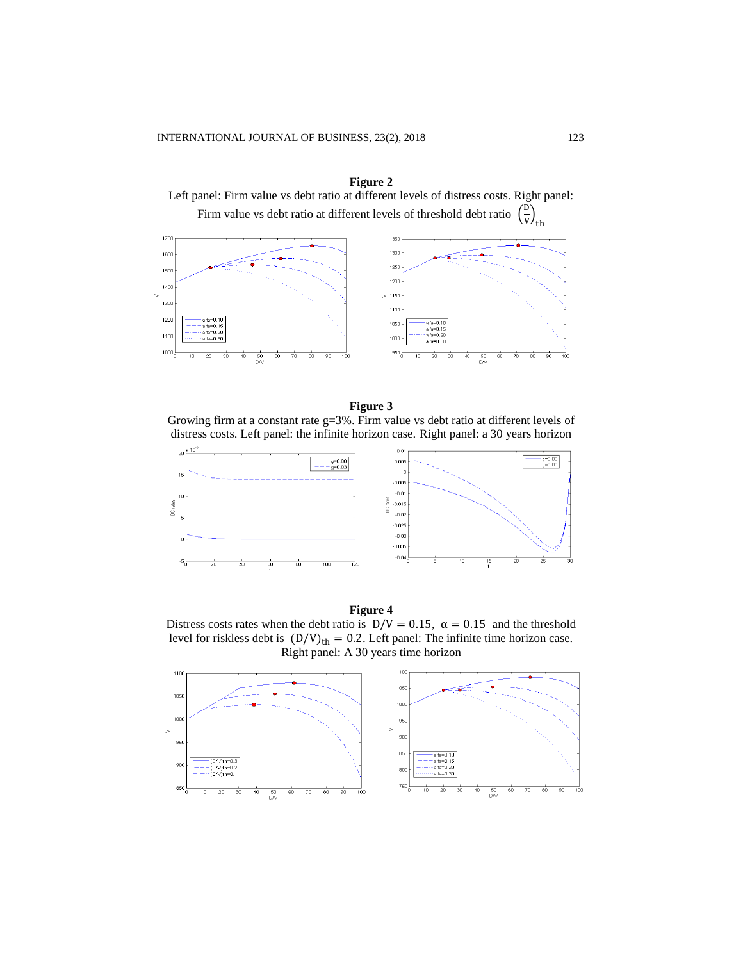

**Figure 2**

#### **Figure 3**

Growing firm at a constant rate g=3%. Firm value vs debt ratio at different levels of distress costs. Left panel: the infinite horizon case. Right panel: a 30 years horizon





Distress costs rates when the debt ratio is  $D/V = 0.15$ ,  $\alpha = 0.15$  and the threshold level for riskless debt is  $(D/V)_{th} = 0.2$ . Left panel: The infinite time horizon case. Right panel: A 30 years time horizon

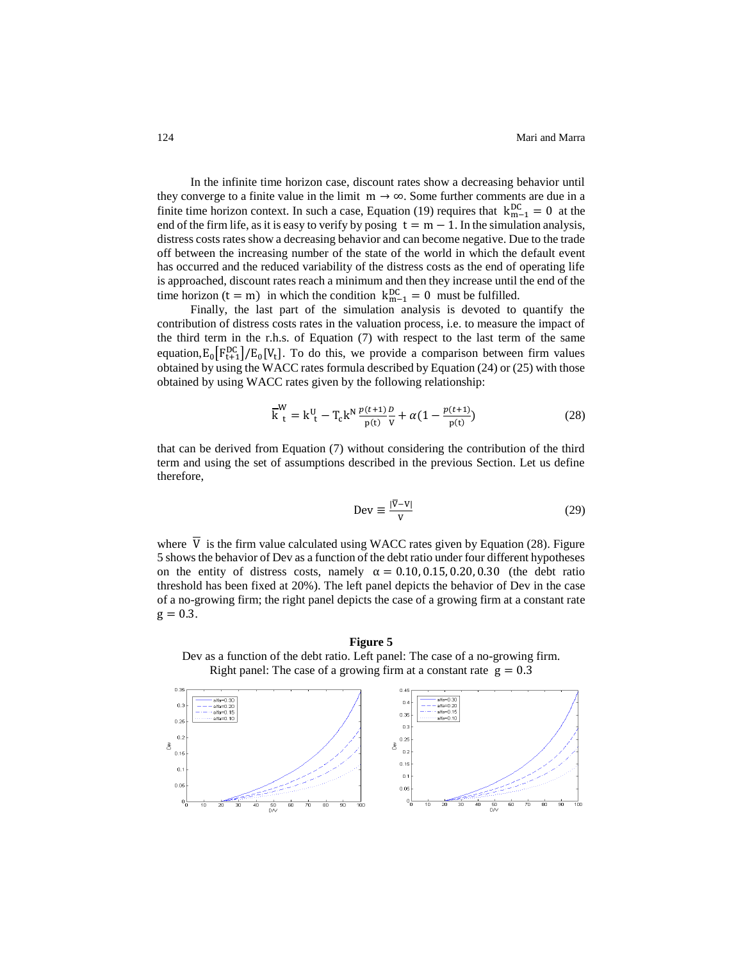In the infinite time horizon case, discount rates show a decreasing behavior until they converge to a finite value in the limit  $m \rightarrow \infty$ . Some further comments are due in a finite time horizon context. In such a case, Equation (19) requires that  $k_{m-1}^{DC} = 0$  at the end of the firm life, as it is easy to verify by posing  $t = m - 1$ . In the simulation analysis, distress costs rates show a decreasing behavior and can become negative. Due to the trade off between the increasing number of the state of the world in which the default event has occurred and the reduced variability of the distress costs as the end of operating life is approached, discount rates reach a minimum and then they increase until the end of the time horizon (t = m) in which the condition  $k_{m-1}^{DC} = 0$  must be fulfilled.

Finally, the last part of the simulation analysis is devoted to quantify the contribution of distress costs rates in the valuation process, i.e. to measure the impact of the third term in the r.h.s. of Equation (7) with respect to the last term of the same equation,  $E_0[F_{t+1}^{DC}]/E_0[V_t]$ . To do this, we provide a comparison between firm values obtained by using the WACC rates formula described by Equation (24) or (25) with those obtained by using WACC rates given by the following relationship:

$$
\overline{k}_{t}^{W} = k_{t}^{U} - T_{c} k^{N} \frac{p(t+1)}{p(t)} \frac{p}{V} + \alpha (1 - \frac{p(t+1)}{p(t)})
$$
(28)

that can be derived from Equation (7) without considering the contribution of the third term and using the set of assumptions described in the previous Section. Let us define therefore,

$$
Dev \equiv \frac{|\overline{v} - v|}{v} \tag{29}
$$

where  $\overline{V}$  is the firm value calculated using WACC rates given by Equation (28). Figure 5 shows the behavior of Dev as a function of the debt ratio under four different hypotheses on the entity of distress costs, namely  $\alpha = 0.10, 0.15, 0.20, 0.30$  (the debt ratio threshold has been fixed at 20%). The left panel depicts the behavior of Dev in the case of a no-growing firm; the right panel depicts the case of a growing firm at a constant rate  $g = 0.3$ .

**Figure 5** Dev as a function of the debt ratio. Left panel: The case of a no-growing firm. Right panel: The case of a growing firm at a constant rate  $g = 0.3$ 

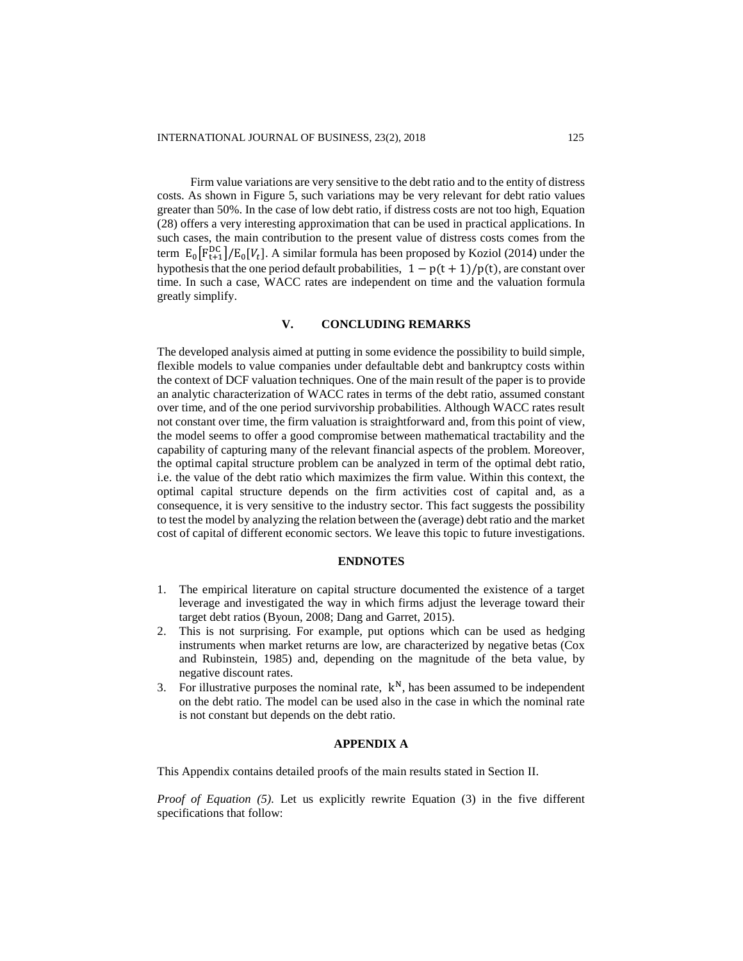Firm value variations are very sensitive to the debt ratio and to the entity of distress costs. As shown in Figure 5, such variations may be very relevant for debt ratio values greater than 50%. In the case of low debt ratio, if distress costs are not too high, Equation (28) offers a very interesting approximation that can be used in practical applications. In such cases, the main contribution to the present value of distress costs comes from the term  $E_0[F_{t+1}^{DC}]/E_0[V_t]$ . A similar formula has been proposed by Koziol (2014) under the hypothesis that the one period default probabilities,  $1 - p(t + 1)/p(t)$ , are constant over time. In such a case, WACC rates are independent on time and the valuation formula greatly simplify.

# **V. CONCLUDING REMARKS**

The developed analysis aimed at putting in some evidence the possibility to build simple, flexible models to value companies under defaultable debt and bankruptcy costs within the context of DCF valuation techniques. One of the main result of the paper is to provide an analytic characterization of WACC rates in terms of the debt ratio, assumed constant over time, and of the one period survivorship probabilities. Although WACC rates result not constant over time, the firm valuation is straightforward and, from this point of view, the model seems to offer a good compromise between mathematical tractability and the capability of capturing many of the relevant financial aspects of the problem. Moreover, the optimal capital structure problem can be analyzed in term of the optimal debt ratio, i.e. the value of the debt ratio which maximizes the firm value. Within this context, the optimal capital structure depends on the firm activities cost of capital and, as a consequence, it is very sensitive to the industry sector. This fact suggests the possibility to test the model by analyzing the relation between the (average) debt ratio and the market cost of capital of different economic sectors. We leave this topic to future investigations.

# **ENDNOTES**

- 1. The empirical literature on capital structure documented the existence of a target leverage and investigated the way in which firms adjust the leverage toward their target debt ratios (Byoun, 2008; Dang and Garret, 2015).
- 2. This is not surprising. For example, put options which can be used as hedging instruments when market returns are low, are characterized by negative betas (Cox and Rubinstein, 1985) and, depending on the magnitude of the beta value, by negative discount rates.
- 3. For illustrative purposes the nominal rate,  $k^N$ , has been assumed to be independent on the debt ratio. The model can be used also in the case in which the nominal rate is not constant but depends on the debt ratio.

#### **APPENDIX A**

This Appendix contains detailed proofs of the main results stated in Section II.

*Proof of Equation (5).* Let us explicitly rewrite Equation (3) in the five different specifications that follow: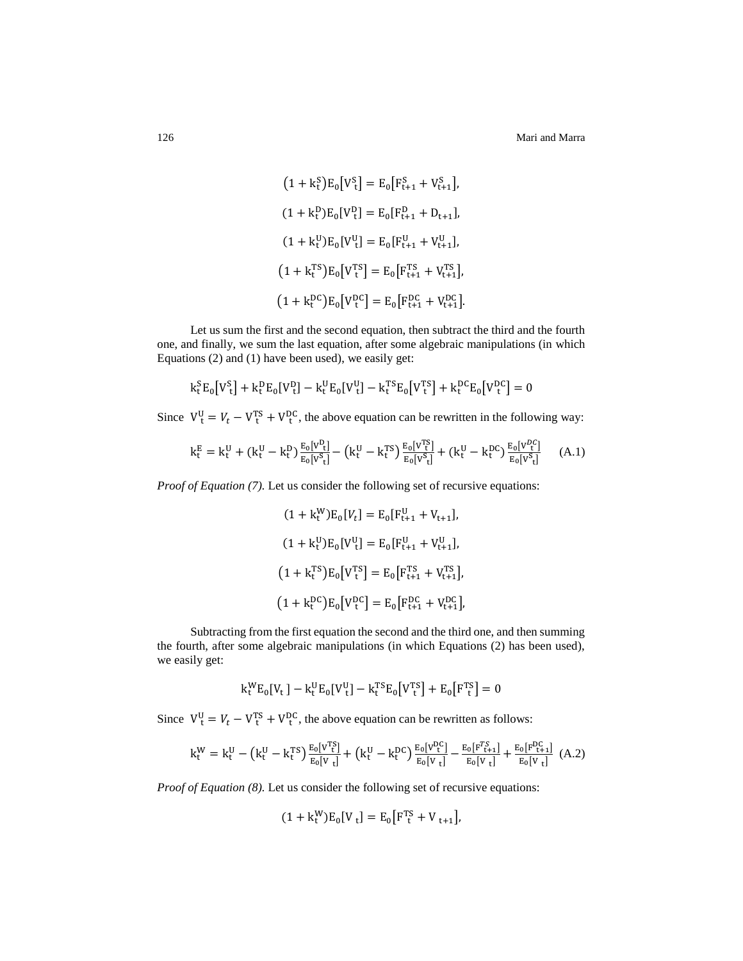126 Mari and Marra

$$
(1 + k_t^S)E_0[V_t^S] = E_0[F_{t+1}^S + V_{t+1}^S],
$$
  
\n
$$
(1 + k_t^D)E_0[V_t^D] = E_0[F_{t+1}^D + D_{t+1}],
$$
  
\n
$$
(1 + k_t^U)E_0[V_t^U] = E_0[F_{t+1}^U + V_{t+1}^U],
$$
  
\n
$$
(1 + k_t^{TS})E_0[V_t^{TS}] = E_0[F_{t+1}^{TS} + V_{t+1}^{TS}],
$$
  
\n
$$
(1 + k_t^{DC})E_0[V_t^{DC}] = E_0[F_{t+1}^{DC} + V_{t+1}^{DC}].
$$

Let us sum the first and the second equation, then subtract the third and the fourth one, and finally, we sum the last equation, after some algebraic manipulations (in which Equations (2) and (1) have been used), we easily get:

$$
k_t^SE_0[V_t^S] + k_t^DE_0[V_t^D] - k_t^UE_0[V_t^U] - k_t^{TS}E_0[V_t^{TS}] + k_t^{DC}E_0[V_t^{DC}] = 0
$$

Since  $V_t^U = V_t - V_t^{TS} + V_t^{DC}$ , the above equation can be rewritten in the following way:

$$
k_t^E = k_t^U + (k_t^U - k_t^D) \frac{E_0[V_{\tau}^D]}{E_0[V_{\tau}^S]} - (k_t^U - k_t^{TS}) \frac{E_0[V_{\tau}^{TS}]}{E_0[V_{\tau}^S]} + (k_t^U - k_t^{DC}) \frac{E_0[V_{\tau}^{DC}]}{E_0[V_{\tau}^S]} \tag{A.1}
$$

*Proof of Equation (7).* Let us consider the following set of recursive equations:

$$
(1 + k_t^W)E_0[V_t] = E_0[F_{t+1}^U + V_{t+1}],
$$
  
\n
$$
(1 + k_t^U)E_0[V_t^U] = E_0[F_{t+1}^U + V_{t+1}^U],
$$
  
\n
$$
(1 + k_t^{TS})E_0[V_t^{TS}] = E_0[F_{t+1}^{TS} + V_{t+1}^{TS}],
$$
  
\n
$$
(1 + k_t^{DC})E_0[V_t^{DC}] = E_0[F_{t+1}^{DC} + V_{t+1}^{DC}],
$$

Subtracting from the first equation the second and the third one, and then summing the fourth, after some algebraic manipulations (in which Equations (2) has been used), we easily get:

$$
k_t^W E_0[V_t] - k_t^U E_0[V_t^U] - k_t^{TS} E_0[V_t^{TS}] + E_0[F_t^{TS}] = 0
$$

Since  $V_t^U = V_t - V_t^{TS} + V_t^{DC}$ , the above equation can be rewritten as follows:

$$
k_t^W = k_t^U - \left(k_t^U - k_t^{TS}\right) \frac{E_0[V_t^{TS}]}{E_0[V_t]} + \left(k_t^U - k_t^{DC}\right) \frac{E_0[V_t^{DC}]}{E_0[V_t]} - \frac{E_0[F_t^{TC}]}{E_0[V_t]} + \frac{E_0[F_{t+1}^{DC}]}{E_0[V_t]} \tag{A.2}
$$

*Proof of Equation (8).* Let us consider the following set of recursive equations:

$$
(1 + k_t^W)E_0[V_t] = E_0[F_t^{TS} + V_{t+1}],
$$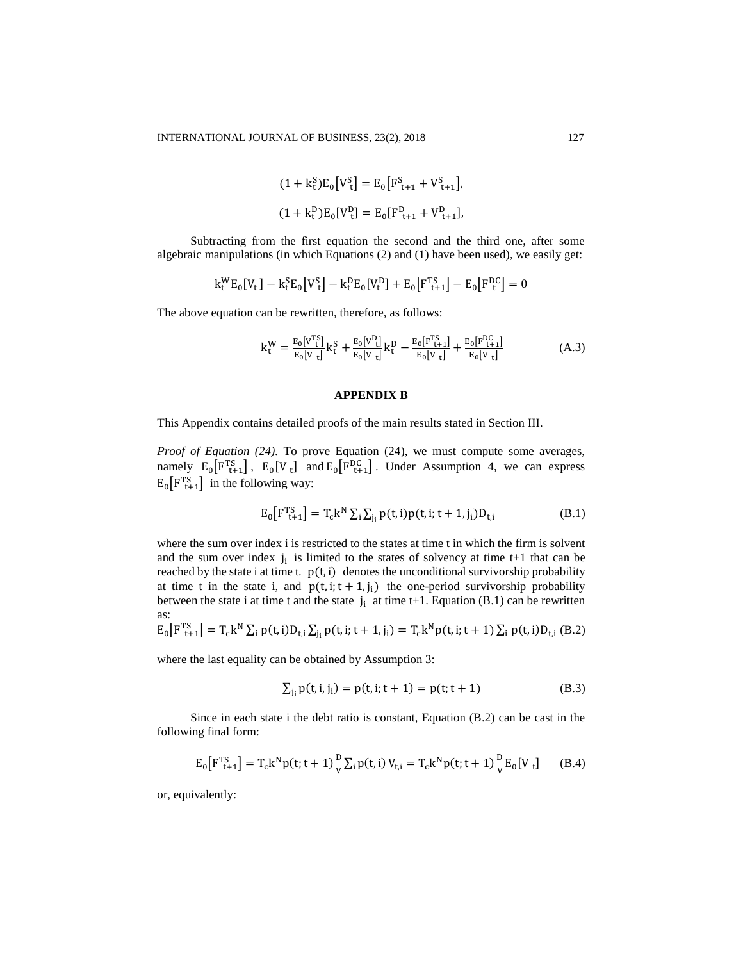$$
(1 + k_t^S)E_0[V_t^S] = E_0[F_{t+1}^S + V_{t+1}^S],
$$
  

$$
(1 + k_t^D)E_0[V_t^D] = E_0[F_{t+1}^D + V_{t+1}^D],
$$

Subtracting from the first equation the second and the third one, after some algebraic manipulations (in which Equations (2) and (1) have been used), we easily get:

$$
k_t^W E_0[V_t] - k_t^S E_0[V_t^S] - k_t^D E_0[V_t^D] + E_0[F_{t+1}^{TS}] - E_0[F_t^{DC}] = 0
$$

The above equation can be rewritten, therefore, as follows:

$$
k_t^W = \frac{E_0[V_t^{TS}]}{E_0[V_t]} k_t^S + \frac{E_0[V_t^D]}{E_0[V_t]} k_t^D - \frac{E_0[F_{t+1}^{TS}]}{E_0[V_t]} + \frac{E_0[F_{t+1}^{DC}]}{E_0[V_t]}
$$
(A.3)

# **APPENDIX B**

This Appendix contains detailed proofs of the main results stated in Section III.

*Proof of Equation (24).* To prove Equation (24), we must compute some averages, namely  $E_0[F_{t+1}^{TS}]$ ,  $E_0[V_t]$  and  $E_0[F_{t+1}^{DC}]$ . Under Assumption 4, we can express  $E_0[F_{t+1}^{TS}]$  in the following way:

$$
E_0[F_{t+1}^{TS}] = T_c k^N \sum_i \sum_{j_i} p(t, i) p(t, i; t+1, j_i) D_{t, i}
$$
 (B.1)

where the sum over index i is restricted to the states at time t in which the firm is solvent and the sum over index  $j_i$  is limited to the states of solvency at time  $t+1$  that can be reached by the state i at time t.  $p(t, i)$  denotes the unconditional survivorship probability at time t in the state i, and  $p(t, i; t + 1, j_i)$  the one-period survivorship probability between the state i at time t and the state  $j_i$  at time t+1. Equation (B.1) can be rewritten as:

$$
E_0[F_{t+1}^{TS}] = T_c k^N \sum_i p(t,i) D_{t,i} \sum_{j_i} p(t,i;t+1,j_i) = T_c k^N p(t,i;t+1) \sum_i p(t,i) D_{t,i} (B.2)
$$

where the last equality can be obtained by Assumption 3:

$$
\sum_{j_i} p(t, i, j_i) = p(t, i; t + 1) = p(t; t + 1)
$$
\n(B.3)

Since in each state i the debt ratio is constant, Equation (B.2) can be cast in the following final form:

$$
E_0[F_{t+1}^{TS}] = T_c k^N p(t; t+1) \frac{D}{V} \sum_i p(t, i) V_{t,i} = T_c k^N p(t; t+1) \frac{D}{V} E_0[V_t]
$$
 (B.4)

or, equivalently: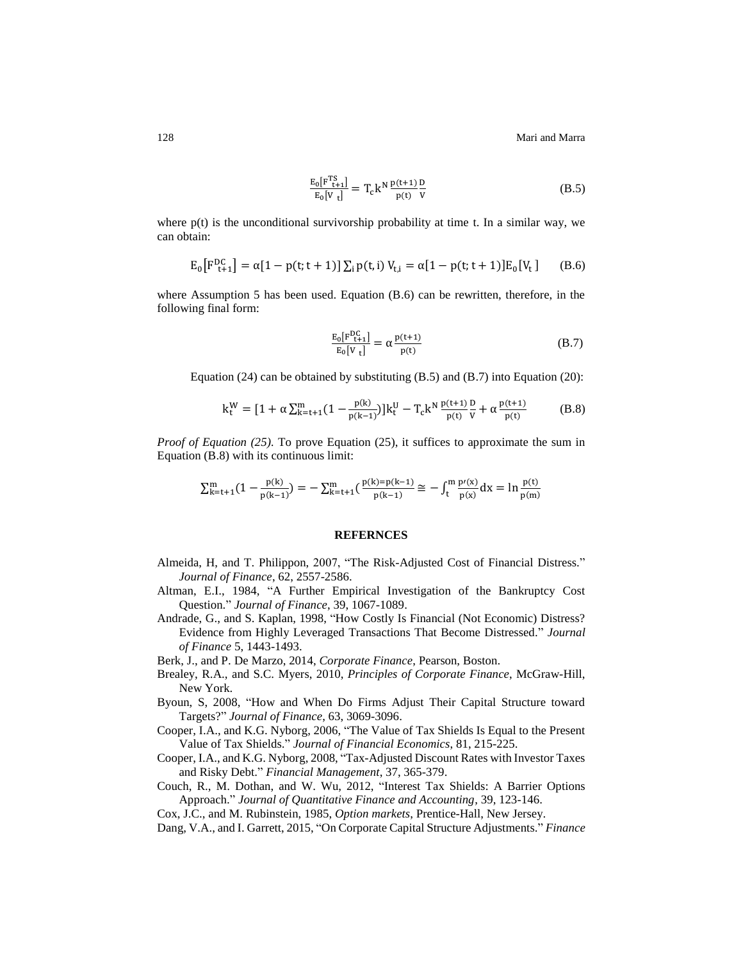128 Mari and Marra

$$
\frac{E_0[F_{t+1}^{TS}]}{E_0[V_t]} = T_c k^N \frac{p(t+1)}{p(t)} \frac{D}{V}
$$
\n(B.5)

where  $p(t)$  is the unconditional survivorship probability at time t. In a similar way, we can obtain:

$$
E_0[F_{t+1}^{DC}] = \alpha[1 - p(t; t+1)] \sum_i p(t, i) V_{t,i} = \alpha[1 - p(t; t+1)] E_0[V_t]
$$
 (B.6)

where Assumption 5 has been used. Equation (B.6) can be rewritten, therefore, in the following final form:

$$
\frac{E_0[F_{t+1}^{DC}]}{E_0[V_t]} = \alpha \frac{p(t+1)}{p(t)}
$$
\n(B.7)

Equation  $(24)$  can be obtained by substituting  $(B.5)$  and  $(B.7)$  into Equation  $(20)$ :

$$
k_t^W = [1 + \alpha \sum_{k=t+1}^m (1 - \frac{p(k)}{p(k-1)})] k_t^U - T_c k^N \frac{p(t+1)}{p(t)} \frac{p}{v} + \alpha \frac{p(t+1)}{p(t)} \tag{B.8}
$$

*Proof of Equation (25).* To prove Equation (25), it suffices to approximate the sum in Equation (B.8) with its continuous limit:

$$
\textstyle \sum_{k=t+1}^m (1-\frac{p(k)}{p(k-1)}) = -\sum_{k=t+1}^m (\frac{p(k)=p(k-1)}{p(k-1)} \cong -\int_t^m \frac{p'(x)}{p(x)} dx = \ln \frac{p(t)}{p(m)}
$$

#### **REFERNCES**

- Almeida, H, and T. Philippon, 2007, "The Risk-Adjusted Cost of Financial Distress." *Journal of Finance*, 62, 2557-2586.
- Altman, E.I., 1984, "A Further Empirical Investigation of the Bankruptcy Cost Question." *Journal of Finance*, 39, 1067-1089.
- Andrade, G., and S. Kaplan, 1998, "How Costly Is Financial (Not Economic) Distress? Evidence from Highly Leveraged Transactions That Become Distressed." *Journal of Finance* 5, 1443-1493.
- Berk, J., and P. De Marzo, 2014, *Corporate Finance*, Pearson, Boston.
- Brealey, R.A., and S.C. Myers, 2010, *Principles of Corporate Finance*, McGraw-Hill, New York.
- Byoun, S, 2008, "How and When Do Firms Adjust Their Capital Structure toward Targets?" *Journal of Finance*, 63, 3069-3096.
- Cooper, I.A., and K.G. Nyborg, 2006, "The Value of Tax Shields Is Equal to the Present Value of Tax Shields." *Journal of Financial Economics*, 81, 215-225.
- Cooper, I.A., and K.G. Nyborg, 2008, "Tax-Adjusted Discount Rates with Investor Taxes and Risky Debt." *Financial Management*, 37, 365-379.
- Couch, R., M. Dothan, and W. Wu, 2012, "Interest Tax Shields: A Barrier Options Approach." *Journal of Quantitative Finance and Accounting*, 39, 123-146.
- Cox, J.C., and M. Rubinstein, 1985, *Option markets*, Prentice-Hall, New Jersey.
- Dang, V.A., and I. Garrett, 2015, "On Corporate Capital Structure Adjustments." *Finance*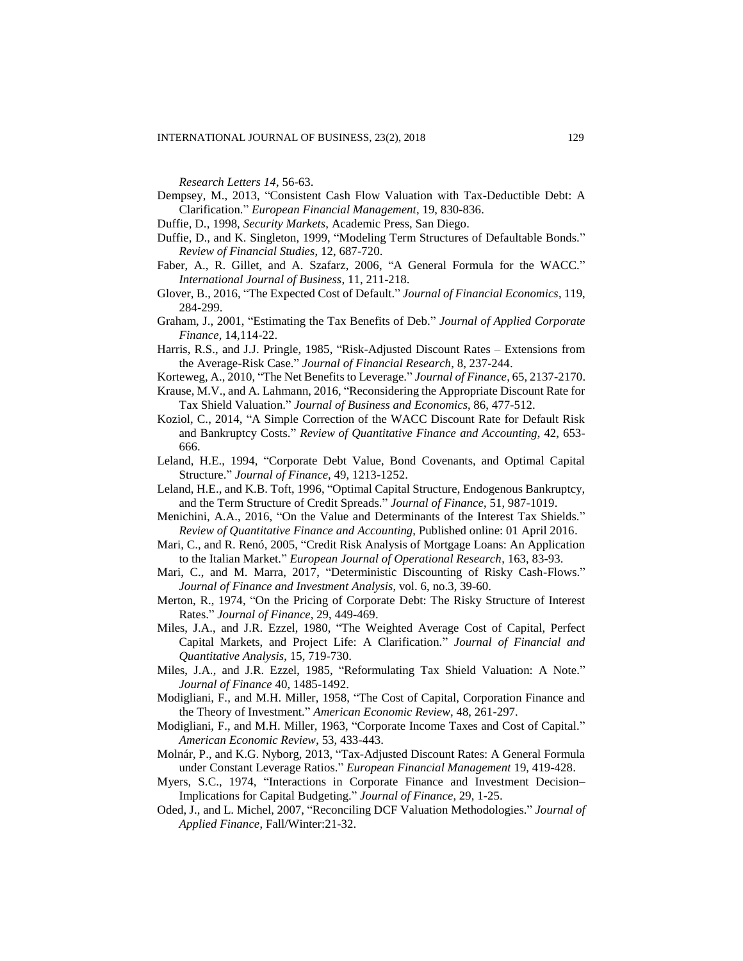*Research Letters 14*, 56-63.

- Dempsey, M., 2013, "Consistent Cash Flow Valuation with Tax-Deductible Debt: A Clarification." *European Financial Management*, 19, 830-836.
- Duffie, D., 1998, *Security Markets*, Academic Press, San Diego.
- Duffie, D., and K. Singleton, 1999, "Modeling Term Structures of Defaultable Bonds." *Review of Financial Studies*, 12, 687-720.
- Faber, A., R. Gillet, and A. Szafarz, 2006, "A General Formula for the WACC." *International Journal of Business*, 11, 211-218.
- Glover, B., 2016, "The Expected Cost of Default." *Journal of Financial Economics*, 119, 284-299.
- Graham, J., 2001, "Estimating the Tax Benefits of Deb." *Journal of Applied Corporate Finance*, 14,114-22.
- Harris, R.S., and J.J. Pringle, 1985, "Risk-Adjusted Discount Rates Extensions from the Average-Risk Case." *Journal of Financial Research*, 8, 237-244.
- Korteweg, A., 2010, "The Net Benefits to Leverage." *Journal of Finance*, 65, 2137-2170.
- Krause, M.V., and A. Lahmann, 2016, "Reconsidering the Appropriate Discount Rate for Tax Shield Valuation." *Journal of Business and Economics*, 86, 477-512.
- Koziol, C., 2014, "A Simple Correction of the WACC Discount Rate for Default Risk and Bankruptcy Costs." *Review of Quantitative Finance and Accounting*, 42, 653- 666.
- Leland, H.E., 1994, "Corporate Debt Value, Bond Covenants, and Optimal Capital Structure." *Journal of Finance*, 49, 1213-1252.
- Leland, H.E., and K.B. Toft, 1996, "Optimal Capital Structure, Endogenous Bankruptcy, and the Term Structure of Credit Spreads." *Journal of Finance*, 51, 987-1019.
- Menichini, A.A., 2016, "On the Value and Determinants of the Interest Tax Shields." *Review of Quantitative Finance and Accounting*, Published online: 01 April 2016.
- Mari, C., and R. Renó, 2005, "Credit Risk Analysis of Mortgage Loans: An Application to the Italian Market." *European Journal of Operational Research*, 163, 83-93.
- Mari, C., and M. Marra, 2017, "Deterministic Discounting of Risky Cash-Flows." *Journal of Finance and Investment Analysis*, vol. 6, no.3, 39-60.
- Merton, R., 1974, "On the Pricing of Corporate Debt: The Risky Structure of Interest Rates." *Journal of Finance*, 29, 449-469.
- Miles, J.A., and J.R. Ezzel, 1980, "The Weighted Average Cost of Capital, Perfect Capital Markets, and Project Life: A Clarification." *Journal of Financial and Quantitative Analysis*, 15, 719-730.
- Miles, J.A., and J.R. Ezzel, 1985, "Reformulating Tax Shield Valuation: A Note." *Journal of Finance* 40, 1485-1492.
- Modigliani, F., and M.H. Miller, 1958, "The Cost of Capital, Corporation Finance and the Theory of Investment." *American Economic Review*, 48, 261-297.
- Modigliani, F., and M.H. Miller, 1963, "Corporate Income Taxes and Cost of Capital." *American Economic Review*, 53, 433-443.
- Molnár, P., and K.G. Nyborg, 2013, "Tax-Adjusted Discount Rates: A General Formula under Constant Leverage Ratios." *European Financial Management* 19, 419-428.
- Myers, S.C., 1974, "Interactions in Corporate Finance and Investment Decision– Implications for Capital Budgeting." *Journal of Finance*, 29, 1-25.
- Oded, J., and L. Michel, 2007, "Reconciling DCF Valuation Methodologies." *Journal of Applied Finance*, Fall/Winter:21-32.